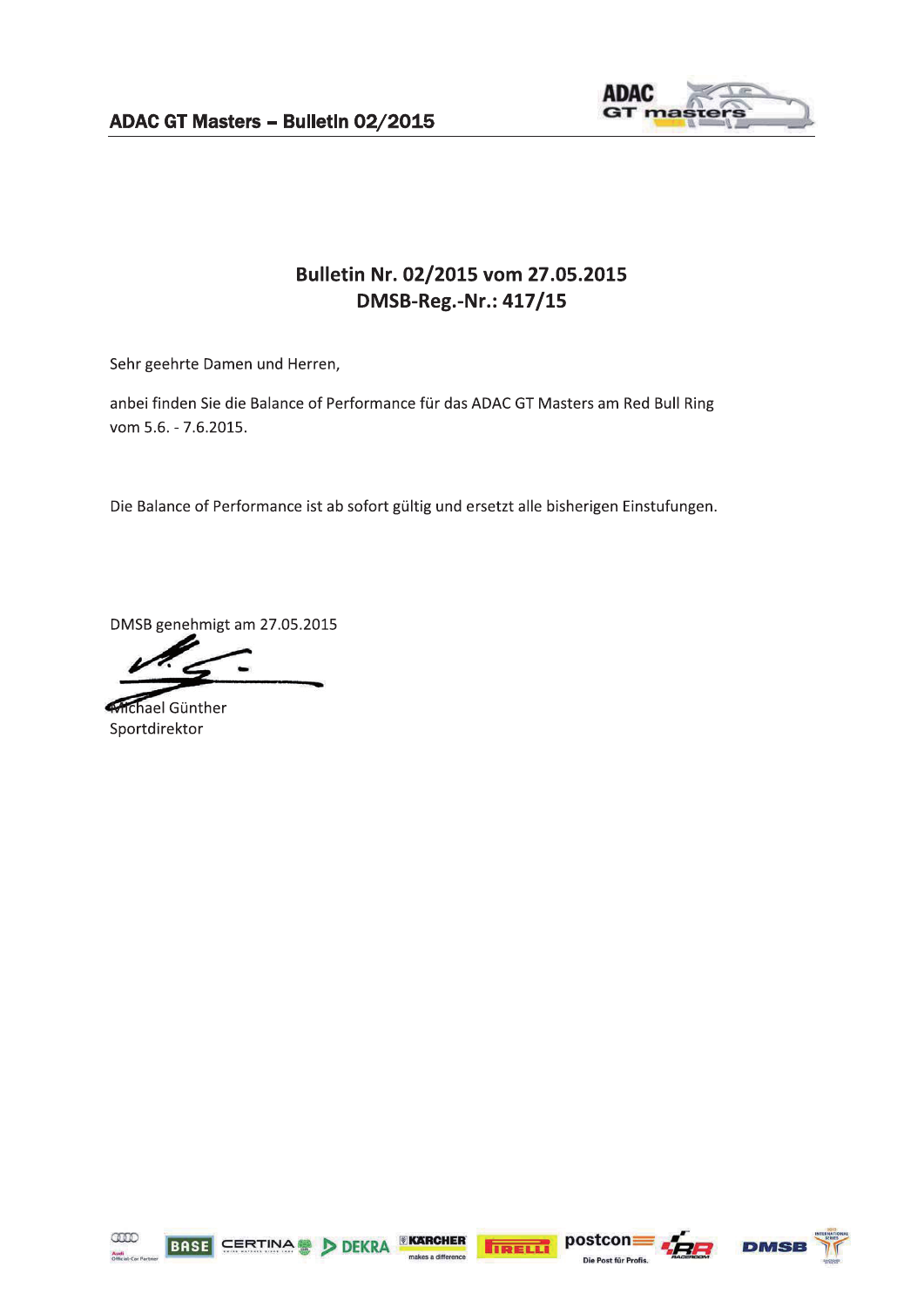

## Bulletin Nr. 02/2015 vom 27.05.2015 DMSB-Reg.-Nr.: 417/15

Sehr geehrte Damen und Herren,

anbei finden Sie die Balance of Performance für das ADAC GT Masters am Red Bull Ring vom 5.6. - 7.6.2015.

Die Balance of Performance ist ab sofort gültig und ersetzt alle bisherigen Einstufungen.

DMSB genehmigt am 27.05.2015

**Mchael Günther** Sportdirektor





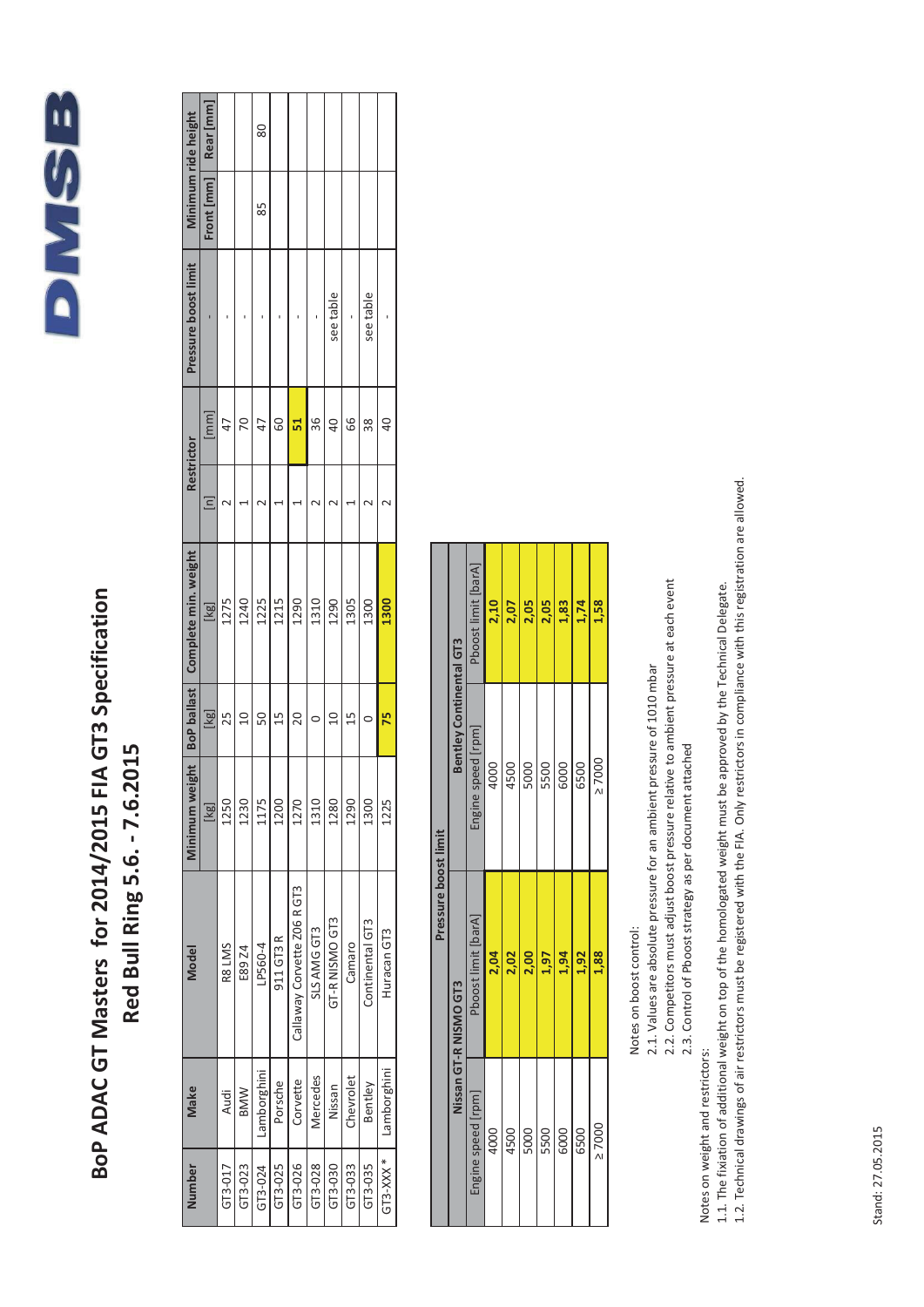

## BoP ADAC GT Masters for 2014/2015 FIA GT3 Specification Red Bull Ring 5.6. - 7.6.2015

| Minimum ride height  | Rear [mm]                |         |                | 80          |           |                             |                 |                |           |                 |                 |
|----------------------|--------------------------|---------|----------------|-------------|-----------|-----------------------------|-----------------|----------------|-----------|-----------------|-----------------|
|                      | Front [mm]               |         |                | 85          |           |                             |                 |                |           |                 |                 |
| Pressure boost limit |                          |         |                |             |           |                             |                 | see table      |           | see table       |                 |
| <b>Restrictor</b>    | $\overline{mn}$          |         | ξ              |             | ၉၅        | Ъ                           | 36              | $\overline{a}$ | 89        | 38              | $\overline{40}$ |
|                      | $\mathbf{a}$             |         |                |             |           |                             |                 |                |           |                 |                 |
| Complete min. weight | $\overline{\mathbb{R}}$  | 1275    | 1240           | 1225        | 1215      | 1290                        | 1310            | 1290           | 1305      | 1300            | 1300            |
| <b>BoP</b> ballast   | $\overline{\Xi}$         | 25      | $\overline{a}$ | 50          | 15        | 20                          |                 | $\overline{a}$ | $^{15}$   |                 | 75              |
| Minimum weight       | $\overline{\frac{1}{8}}$ | 1250    | 1230           | 1175        | 1200      | 1270                        | 1310            | 1280           | 1290      | 1300            | 1225            |
| Model                |                          | R8 LMS  | E89 Z4         | LP560-4     | 911 GT3 R | Callaway Corvette Z06 R GT3 | SLS AMG GT3     | GT-R NISMO GT3 | Camaro    | Continental GT3 | Huracan GT3     |
| Make                 |                          | Audi    | <b>MWB</b>     | Lamborghini | Porsche   | Corvette                    | <b>Mercedes</b> | Nissan         | Chevrolet | Bentley         | Lamborghini     |
| Number               |                          | GT3-017 | GT3-023        | GT3-024     | GT3-025   | GT3-026                     | GT3-028         | GT3-030        | GT3-033   | GT3-035         | $GT3-XXX$ *     |

| Pressure boost limit | <b>Bentley Continental GT3</b> | Phoost limit [barA] | 2,10 | 2,07 | 2,05 | 2,05 | 1,83 | 1,74 | 1,58        |  |
|----------------------|--------------------------------|---------------------|------|------|------|------|------|------|-------------|--|
|                      |                                | Engine speed [rpm]  | 4000 | 4500 | 5000 | 5500 | 6000 | 6500 | $\geq 7000$ |  |
|                      | Nissan GT-R NISMO GT3          | Pboost limit [barA] | 2,04 | 2,02 | 2,00 | 1,97 | 1,94 | 1,92 | 1,88        |  |
|                      |                                | Engine speed [rpm]  | 4000 | 4500 | 5000 | 5500 | 6000 | 6500 | $\geq 7000$ |  |

Notes on boost control:

2.1. Values are absolute pressure for an ambient pressure of 1010 mbar

2.2. Competitors must adjust boost pressure relative to ambient pressure at each event

2.3. Control of Pboost strategy as per document attached

Notes on weight and restrictors:

1.2. Technical drawings of air restrictors must be registered with the FIA. Only restrictors in compliance with this registration are allowed. 1.1. The fixiation of additional weight on top of the homologated weight must be approved by the Technical Delegate.

Stand: 27.05.2015